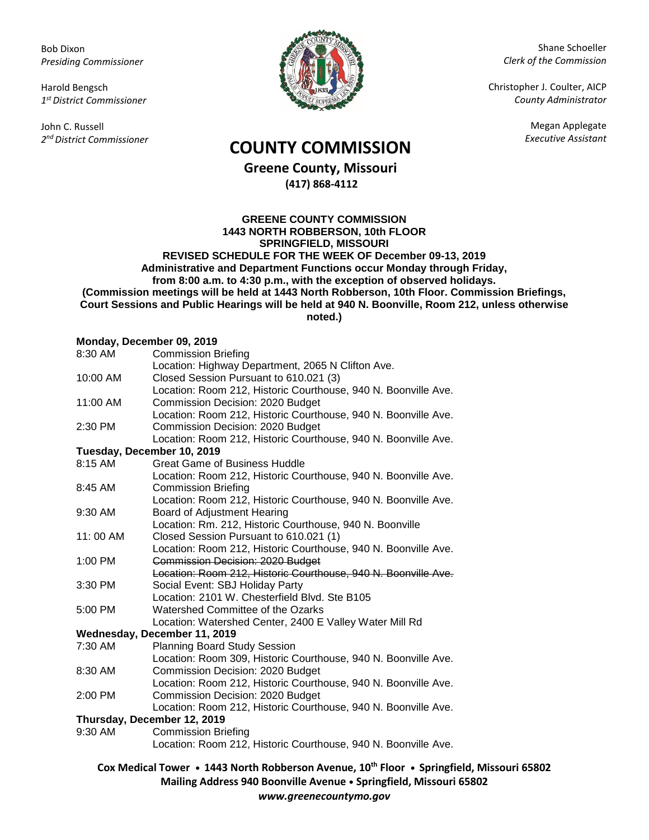Bob Dixon *Presiding Commissioner*

Harold Bengsch *1 st District Commissioner*

John C. Russell *2 nd District Commissioner*



Shane Schoeller *Clerk of the Commission*

Christopher J. Coulter, AICP *County Administrator*

Megan Applegate

## *Executive Assistant* **COUNTY COMMISSION**

**Greene County, Missouri (417) 868-4112**

**GREENE COUNTY COMMISSION 1443 NORTH ROBBERSON, 10th FLOOR SPRINGFIELD, MISSOURI REVISED SCHEDULE FOR THE WEEK OF December 09-13, 2019 Administrative and Department Functions occur Monday through Friday, from 8:00 a.m. to 4:30 p.m., with the exception of observed holidays. (Commission meetings will be held at 1443 North Robberson, 10th Floor. Commission Briefings, Court Sessions and Public Hearings will be held at 940 N. Boonville, Room 212, unless otherwise noted.)**

## **Monday, December 09, 2019**

| 8:30 AM                      | .<br><b>Commission Briefing</b>                                |
|------------------------------|----------------------------------------------------------------|
|                              | Location: Highway Department, 2065 N Clifton Ave.              |
| 10:00 AM                     | Closed Session Pursuant to 610.021 (3)                         |
|                              | Location: Room 212, Historic Courthouse, 940 N. Boonville Ave. |
| 11:00 AM                     | Commission Decision: 2020 Budget                               |
|                              | Location: Room 212, Historic Courthouse, 940 N. Boonville Ave. |
| 2:30 PM                      | Commission Decision: 2020 Budget                               |
|                              | Location: Room 212, Historic Courthouse, 940 N. Boonville Ave. |
| Tuesday, December 10, 2019   |                                                                |
| 8:15 AM                      | <b>Great Game of Business Huddle</b>                           |
|                              | Location: Room 212, Historic Courthouse, 940 N. Boonville Ave. |
| 8:45 AM                      | <b>Commission Briefing</b>                                     |
|                              | Location: Room 212, Historic Courthouse, 940 N. Boonville Ave. |
| 9:30 AM                      | Board of Adjustment Hearing                                    |
|                              | Location: Rm. 212, Historic Courthouse, 940 N. Boonville       |
| 11:00 AM                     | Closed Session Pursuant to 610.021 (1)                         |
|                              | Location: Room 212, Historic Courthouse, 940 N. Boonville Ave. |
| 1:00 PM                      | Commission Decision: 2020 Budget                               |
|                              | Location: Room 212, Historic Courthouse, 940 N. Boonville Ave. |
| 3:30 PM                      | Social Event: SBJ Holiday Party                                |
|                              | Location: 2101 W. Chesterfield Blvd. Ste B105                  |
| 5:00 PM                      | Watershed Committee of the Ozarks                              |
|                              | Location: Watershed Center, 2400 E Valley Water Mill Rd        |
| Wednesday, December 11, 2019 |                                                                |
| 7:30 AM                      | <b>Planning Board Study Session</b>                            |
|                              | Location: Room 309, Historic Courthouse, 940 N. Boonville Ave. |
| 8:30 AM                      | Commission Decision: 2020 Budget                               |
|                              | Location: Room 212, Historic Courthouse, 940 N. Boonville Ave. |
| 2:00 PM                      | Commission Decision: 2020 Budget                               |
|                              | Location: Room 212, Historic Courthouse, 940 N. Boonville Ave. |
| Thursday, December 12, 2019  |                                                                |
| 9:30 AM                      | <b>Commission Briefing</b>                                     |
|                              | Location: Room 212, Historic Courthouse, 940 N. Boonville Ave. |
|                              |                                                                |

**Cox Medical Tower • 1443 North Robberson Avenue, 10th Floor • Springfield, Missouri 65802 Mailing Address 940 Boonville Avenue • Springfield, Missouri 65802** *www.greenecountymo.gov*